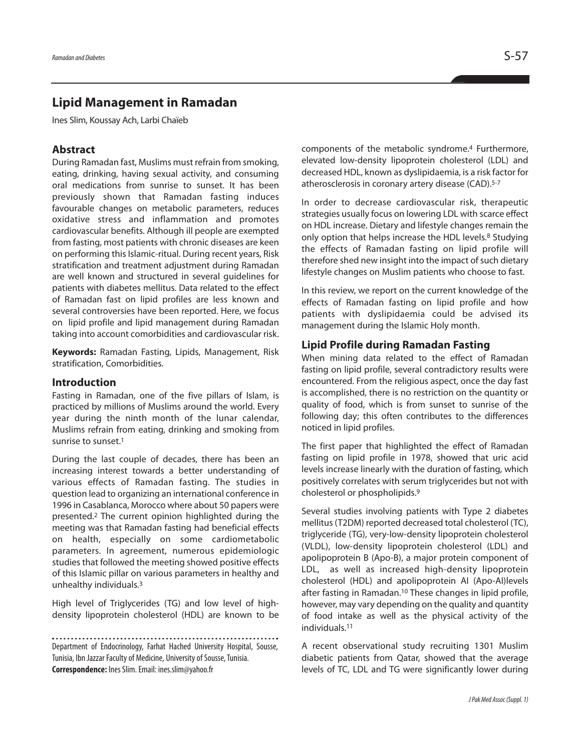# **Lipid Management in Ramadan**

Ines Slim, Koussay Ach, Larbi Chaïeb

# **Abstract**

During Ramadan fast, Muslims must refrain from smoking, eating, drinking, having sexual activity, and consuming oral medications from sunrise to sunset. It has been previously shown that Ramadan fasting induces favourable changes on metabolic parameters, reduces oxidative stress and inflammation and promotes cardiovascular benefits. Although ill people are exempted from fasting, most patients with chronic diseases are keen on performing this Islamic-ritual. During recent years, Risk stratification and treatment adjustment during Ramadan are well known and structured in several guidelines for patients with diabetes mellitus. Data related to the effect of Ramadan fast on lipid profiles are less known and several controversies have been reported. Here, we focus on lipid profile and lipid management during Ramadan taking into account comorbidities and cardiovascular risk.

**Keywords:** Ramadan Fasting, Lipids, Management, Risk stratification, Comorbidities.

#### **Introduction**

Fasting in Ramadan, one of the five pillars of Islam, is practiced by millions of Muslims around the world. Every year during the ninth month of the lunar calendar, Muslims refrain from eating, drinking and smoking from sunrise to sunset. 1

During the last couple of decades, there has been an increasing interest towards a better understanding of various effects of Ramadan fasting. The studies in question lead to organizing an international conference in 1996 in Casablanca, Morocco where about 50 papers were presented. <sup>2</sup> The current opinion highlighted during the meeting was that Ramadan fasting had beneficial effects on health, especially on some cardiometabolic parameters. In agreement, numerous epidemiologic studies that followed the meeting showed positive effects of this Islamic pillar on various parameters in healthy and unhealthy individuals. 3

High level of Triglycerides (TG) and low level of highdensity lipoprotein cholesterol (HDL) are known to be

Department of Endocrinology, Farhat Hached University Hospital, Sousse, Tunisia, Ibn Jazzar Faculty of Medicine, University of Sousse, Tunisia. **Correspondence:** InesSlim.Email: ines.slim@yahoo.fr

components of the metabolic syndrome. <sup>4</sup> Furthermore, elevated low-density lipoprotein cholesterol (LDL) and decreased HDL, known as dyslipidaemia, is a risk factor for atherosclerosis in coronary artery disease (CAD). 5-7

In order to decrease cardiovascular risk, therapeutic strategies usually focus on lowering LDL with scarce effect on HDL increase. Dietary and lifestyle changes remain the only option that helps increase the HDL levels. <sup>8</sup> Studying the effects of Ramadan fasting on lipid profile will therefore shed new insight into the impact of such dietary lifestyle changes on Muslim patients who choose to fast.

In this review, we report on the current knowledge of the effects of Ramadan fasting on lipid profile and how patients with dyslipidaemia could be advised its management during the Islamic Holy month.

# **Lipid Profile during Ramadan Fasting**

When mining data related to the effect of Ramadan fasting on lipid profile, several contradictory results were encountered. From the religious aspect, once the day fast is accomplished, there is no restriction on the quantity or quality of food, which is from sunset to sunrise of the following day; this often contributes to the differences noticed in lipid profiles.

The first paper that highlighted the effect of Ramadan fasting on lipid profile in 1978, showed that uric acid levels increase linearly with the duration of fasting, which positively correlates with serum triglycerides but not with cholesterol or phospholipids. 9

Several studies involving patients with Type 2 diabetes mellitus(T2DM) reported decreased total cholesterol (TC), triglyceride (TG), very-low-density lipoprotein cholesterol (VLDL), low-density lipoprotein cholesterol (LDL) and apolipoprotein B (Apo-B), a major protein component of LDL, as well as increased high-density lipoprotein cholesterol (HDL) and apolipoprotein AI (Apo-AI)levels after fasting in Ramadan. <sup>10</sup> These changes in lipid profile, however, may vary depending on the quality and quantity of food intake as well as the physical activity of the individuals. 11

A recent observational study recruiting 1301 Muslim diabetic patients from Qatar, showed that the average levels of TC, LDL and TG were significantly lower during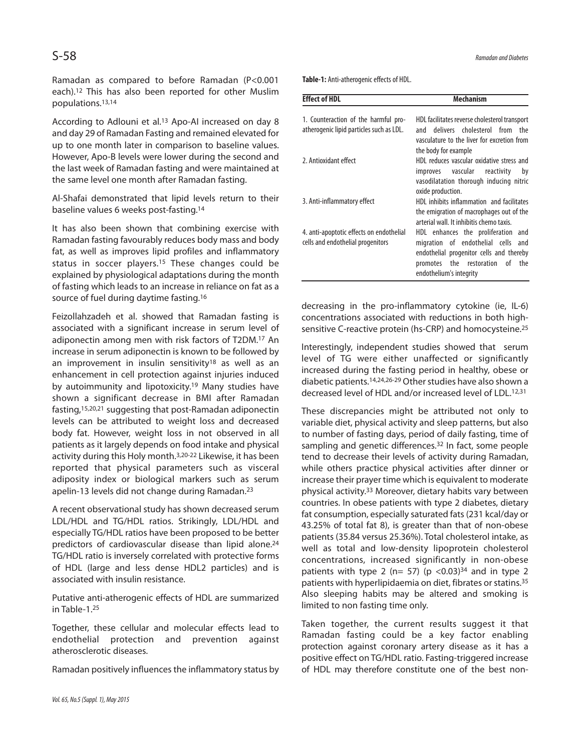Ramadan as compared to before Ramadan (P<0.001 each). <sup>12</sup> This has also been reported for other Muslim populations. 13,14

According to Adlouni et al.<sup>13</sup> Apo-AI increased on day 8 and day 29 of Ramadan Fasting and remained elevated for up to one month later in comparison to baseline values. However, Apo-B levels were lower during the second and the last week of Ramadan fasting and were maintained at the same level one month after Ramadan fasting.

Al-Shafai demonstrated that lipid levels return to their baseline values 6 weeks post-fasting. 14

It has also been shown that combining exercise with Ramadan fasting favourably reduces body mass and body fat, as well as improves lipid profiles and inflammatory status in soccer players. <sup>15</sup> These changes could be explained by physiological adaptations during the month of fasting which leads to an increase in reliance on fat as a source of fuel during daytime fasting. 16

Feizollahzadeh et al. showed that Ramadan fasting is associated with a significant increase in serum level of adiponectin among men with risk factors of T2DM. <sup>17</sup> An increase in serum adiponectin is known to be followed by an improvement in insulin sensitivity<sup>18</sup> as well as an enhancement in cell protection against injuries induced by autoimmunity and lipotoxicity. <sup>19</sup> Many studies have shown a significant decrease in BMI after Ramadan fasting, 15,20,21 suggesting that post-Ramadan adiponectin levels can be attributed to weight loss and decreased body fat. However, weight loss in not observed in all patients as it largely depends on food intake and physical activity during this Holy month. 3,20-22 Likewise, it has been reported that physical parameters such as visceral adiposity index or biological markers such as serum apelin-13 levels did not change during Ramadan. 23

A recent observational study has shown decreased serum LDL/HDL and TG/HDL ratios. Strikingly, LDL/HDL and especially TG/HDL ratios have been proposed to be better predictors of cardiovascular disease than lipid alone. 24 TG/HDL ratio is inversely correlated with protective forms of HDL (large and less dense HDL2 particles) and is associated with insulin resistance.

Putative anti-atherogenic effects of HDL are summarized in Table-1. 25

Together, these cellular and molecular effects lead to endothelial protection and prevention against atherosclerotic diseases.

Ramadan positively influencesthe inflammatory status by

Table-1: Anti-atherogenic effects of HDL.

| <b>Effect of HDL</b>                                                             | Mechanism                                                                                                                                                                             |
|----------------------------------------------------------------------------------|---------------------------------------------------------------------------------------------------------------------------------------------------------------------------------------|
| 1. Counteraction of the harmful pro-<br>atherogenic lipid particles such as LDL. | HDL facilitates reverse cholesterol transport<br>and delivers cholesterol from the<br>vasculature to the liver for excretion from                                                     |
| 2. Antioxidant effect                                                            | the body for example<br>HDL reduces vascular oxidative stress and<br>improves vascular reactivity<br>by<br>vasodilatation thorough inducing nitric<br>oxide production.               |
| 3. Anti-inflammatory effect                                                      | HDL inhibits inflammation and facilitates<br>the emigration of macrophages out of the<br>arterial wall. It inhibitis chemo taxis.                                                     |
| 4. anti-apoptotic effects on endothelial<br>cells and endothelial progenitors    | HDL enhances the proliferation and<br>migration of endothelial cells and<br>endothelial progenitor cells and thereby<br>promotes the restoration of<br>the<br>endothelium's integrity |

decreasing in the pro-inflammatory cytokine (ie, IL-6) concentrations associated with reductions in both highsensitive C-reactive protein (hs-CRP) and homocysteine. 25

Interestingly, independent studies showed that serum level of TG were either unaffected or significantly increased during the fasting period in healthy, obese or diabetic patients.<sup>14,24,26-29</sup> Other studies have also shown a decreased level of HDL and/or increased level of LDL. 12,31

These discrepancies might be attributed not only to variable diet, physical activity and sleep patterns, but also to number of fasting days, period of daily fasting, time of sampling and genetic differences.<sup>32</sup> In fact, some people tend to decrease their levels of activity during Ramadan, while others practice physical activities after dinner or increase their prayer time which is equivalent to moderate physical activity. <sup>33</sup> Moreover, dietary habits vary between countries. In obese patients with type 2 diabetes, dietary fat consumption, especially saturated fats(231 kcal/day or 43.25% of total fat 8), is greater than that of non-obese patients (35.84 versus 25.36%). Total cholesterol intake, as well as total and low-density lipoprotein cholesterol concentrations, increased significantly in non-obese patients with type 2 (n= 57) (p <0.03) $34$  and in type 2 patients with hyperlipidaemia on diet, fibrates or statins.<sup>35</sup> Also sleeping habits may be altered and smoking is limited to non fasting time only.

Taken together, the current results suggest it that Ramadan fasting could be a key factor enabling protection against coronary artery disease as it has a positive effect on TG/HDL ratio. Fasting-triggered increase of HDL may therefore constitute one of the best non-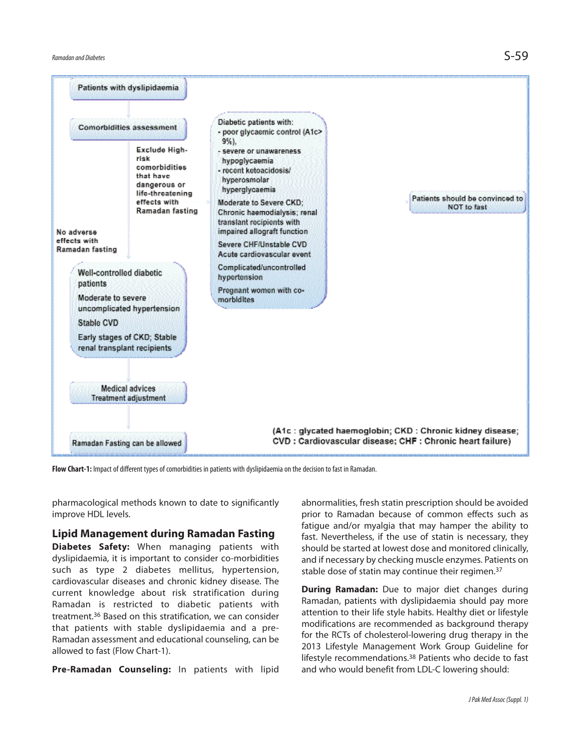

**Flow Chart-1:** Impact of different types of comorbidities in patients with dyslipidaemia on the decision to fast in Ramadan.

pharmacological methods known to date to significantly improve HDL levels.

# **Lipid Management during Ramadan Fasting**

**Diabetes Safety:** When managing patients with dyslipidaemia, it is important to consider co-morbidities such as type 2 diabetes mellitus, hypertension, cardiovascular diseases and chronic kidney disease. The current knowledge about risk stratification during Ramadan is restricted to diabetic patients with treatment. <sup>36</sup> Based on this stratification, we can consider that patients with stable dyslipidaemia and a pre-Ramadan assessment and educational counseling, can be allowed to fast (Flow Chart-1).

**Pre-Ramadan Counseling:** In patients with lipid

abnormalities, fresh statin prescription should be avoided prior to Ramadan because of common effects such as fatigue and/or myalgia that may hamper the ability to fast. Nevertheless, if the use of statin is necessary, they should be started at lowest dose and monitored clinically, and if necessary by checking muscle enzymes. Patients on stable dose of statin may continue their regimen. 37

**During Ramadan:** Due to major diet changes during Ramadan, patients with dyslipidaemia should pay more attention to their life style habits. Healthy diet or lifestyle modifications are recommended as background therapy for the RCTs of cholesterol-lowering drug therapy in the 2013 Lifestyle Management Work Group Guideline for lifestyle recommendations. <sup>38</sup> Patients who decide to fast and who would benefit from LDL-C lowering should: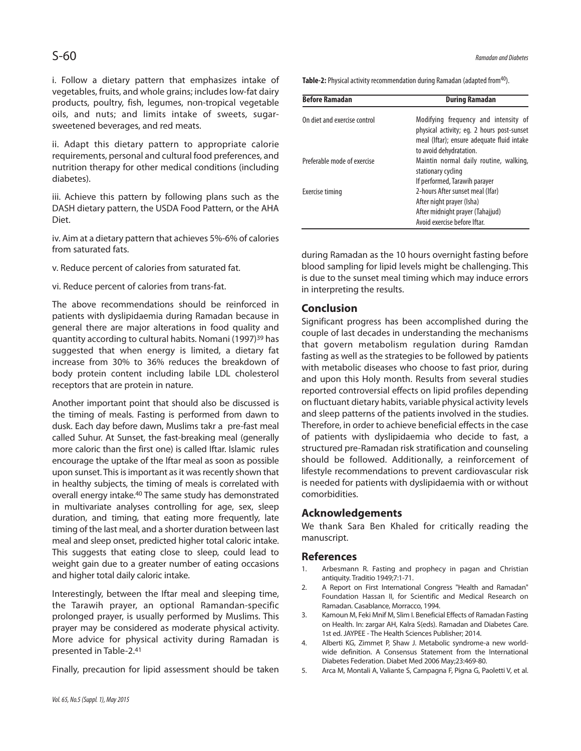i. Follow a dietary pattern that emphasizes intake of vegetables, fruits, and whole grains; includes low-fat dairy products, poultry, fish, legumes, non-tropical vegetable oils, and nuts; and limits intake of sweets, sugarsweetened beverages, and red meats.

ii. Adapt this dietary pattern to appropriate calorie requirements, personal and cultural food preferences, and nutrition therapy for other medical conditions (including diabetes).

iii. Achieve this pattern by following plans such as the DASH dietary pattern, the USDA Food Pattern, or the AHA Diet.

iv. Aim at a dietary pattern that achieves 5%-6% of calories from saturated fats.

v. Reduce percent of calories from saturated fat.

vi. Reduce percent of calories from trans-fat.

The above recommendations should be reinforced in patients with dyslipidaemia during Ramadan because in general there are major alterations in food quality and quantity according to cultural habits. Nomani (1997)<sup>39</sup> has suggested that when energy is limited, a dietary fat increase from 30% to 36% reduces the breakdown of body protein content including labile LDL cholesterol receptors that are protein in nature.

Another important point that should also be discussed is the timing of meals. Fasting is performed from dawn to dusk. Each day before dawn, Muslims takr a pre-fast meal called Suhur. At Sunset, the fast-breaking meal (generally more caloric than the first one) is called Iftar. Islamic rules encourage the uptake of the Iftar meal as soon as possible upon sunset. This is important as it was recently shown that in healthy subjects, the timing of meals is correlated with overall energy intake. <sup>40</sup> The same study has demonstrated in multivariate analyses controlling for age, sex, sleep duration, and timing, that eating more frequently, late timing of the last meal, and a shorter duration between last meal and sleep onset, predicted higher total caloric intake. This suggests that eating close to sleep, could lead to weight gain due to a greater number of eating occasions and higher total daily caloric intake.

Interestingly, between the Iftar meal and sleeping time, the Tarawih prayer, an optional Ramandan-specific prolonged prayer, is usually performed by Muslims. This prayer may be considered as moderate physical activity. More advice for physical activity during Ramadan is presented in Table-2. 41

Finally, precaution for lipid assessment should be taken

**Table-2:** Physical activity recommendation during Ramadan (adapted from<sup>40</sup>).

| <b>During Ramadan</b>                                                                                                                                       |
|-------------------------------------------------------------------------------------------------------------------------------------------------------------|
| Modifying frequency and intensity of<br>physical activity; eg. 2 hours post-sunset<br>meal (Iftar); ensure adequate fluid intake<br>to avoid dehydratation. |
| Maintin normal daily routine, walking,<br>stationary cycling<br>If performed, Tarawih parayer                                                               |
| 2-hours After sunset meal (Ifar)<br>After night prayer (Isha)<br>After midnight prayer (Tahajjud)<br>Avoid exercise before Iftar.                           |
|                                                                                                                                                             |

during Ramadan as the 10 hours overnight fasting before blood sampling for lipid levels might be challenging. This is due to the sunset meal timing which may induce errors in interpreting the results.

# **Conclusion**

Significant progress has been accomplished during the couple of last decades in understanding the mechanisms that govern metabolism regulation during Ramdan fasting as well as the strategies to be followed by patients with metabolic diseases who choose to fast prior, during and upon this Holy month. Results from several studies reported controversial effects on lipid profiles depending on fluctuant dietary habits, variable physical activity levels and sleep patterns of the patients involved in the studies. Therefore, in order to achieve beneficial effects in the case of patients with dyslipidaemia who decide to fast, a structured pre-Ramadan risk stratification and counseling should be followed. Additionally, a reinforcement of lifestyle recommendations to prevent cardiovascular risk is needed for patients with dyslipidaemia with or without comorbidities.

# **Acknowledgements**

We thank Sara Ben Khaled for critically reading the manuscript.

#### **References**

- 1. Arbesmann R. Fasting and prophecy in pagan and Christian antiquity. Traditio 1949;7:1-71.
- 2. A Report on First International Congress "Health and Ramadan" Foundation Hassan II, for Scientific and Medical Research on Ramadan. Casablance, Morracco, 1994.
- 3. Kamoun M, Feki Mnif M, Slim I. Beneficial Effects of Ramadan Fasting on Health. In: zargar AH, Kalra S(eds). Ramadan and Diabetes Care. 1st ed. JAYPEE - The Health Sciences Publisher; 2014.
- 4. Alberti KG, Zimmet P, Shaw J. Metabolic syndrome-a new worldwide definition. A Consensus Statement from the International Diabetes Federation. Diabet Med 2006 May;23:469-80.
- 5. Arca M, Montali A, Valiante S, Campagna F, Pigna G, Paoletti V, et al.